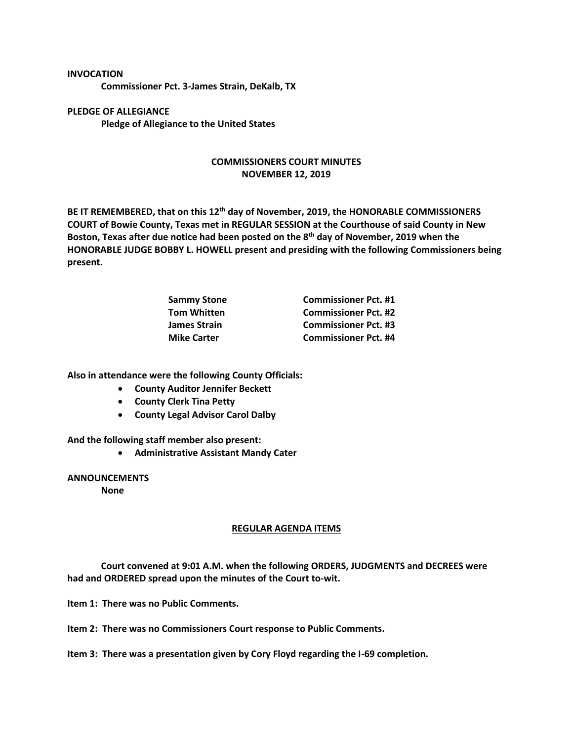## **INVOCATION**

**Commissioner Pct. 3-James Strain, DeKalb, TX**

**PLEDGE OF ALLEGIANCE Pledge of Allegiance to the United States**

## **COMMISSIONERS COURT MINUTES NOVEMBER 12, 2019**

**BE IT REMEMBERED, that on this 12th day of November, 2019, the HONORABLE COMMISSIONERS COURT of Bowie County, Texas met in REGULAR SESSION at the Courthouse of said County in New Boston, Texas after due notice had been posted on the 8th day of November, 2019 when the HONORABLE JUDGE BOBBY L. HOWELL present and presiding with the following Commissioners being present.**

| <b>Commissioner Pct. #1</b> |
|-----------------------------|
| <b>Commissioner Pct. #2</b> |
| <b>Commissioner Pct. #3</b> |
| <b>Commissioner Pct. #4</b> |
|                             |

**Also in attendance were the following County Officials:**

- **County Auditor Jennifer Beckett**
- **County Clerk Tina Petty**
- **County Legal Advisor Carol Dalby**

**And the following staff member also present:**

• **Administrative Assistant Mandy Cater**

## **ANNOUNCEMENTS**

**None**

## **REGULAR AGENDA ITEMS**

**Court convened at 9:01 A.M. when the following ORDERS, JUDGMENTS and DECREES were had and ORDERED spread upon the minutes of the Court to-wit.**

**Item 1: There was no Public Comments.**

**Item 2: There was no Commissioners Court response to Public Comments.**

**Item 3: There was a presentation given by Cory Floyd regarding the I-69 completion.**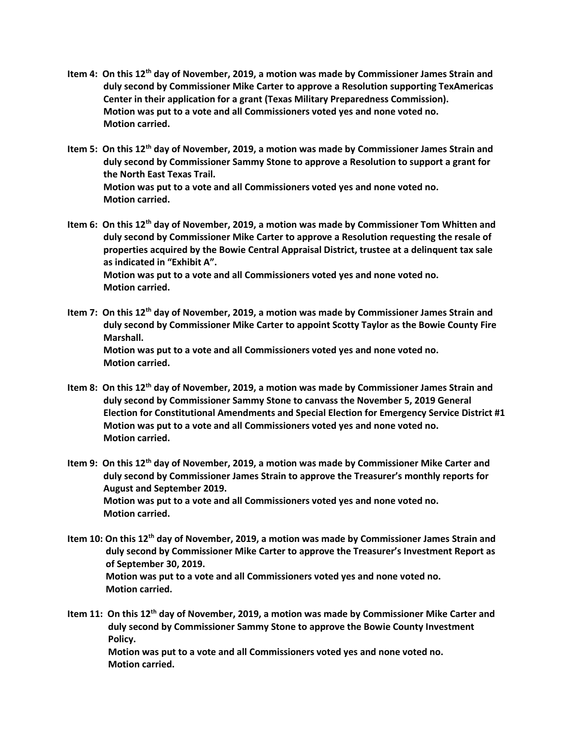- **Item 4: On this 12th day of November, 2019, a motion was made by Commissioner James Strain and duly second by Commissioner Mike Carter to approve a Resolution supporting TexAmericas Center in their application for a grant (Texas Military Preparedness Commission). Motion was put to a vote and all Commissioners voted yes and none voted no. Motion carried.**
- **Item 5: On this 12th day of November, 2019, a motion was made by Commissioner James Strain and duly second by Commissioner Sammy Stone to approve a Resolution to support a grant for the North East Texas Trail. Motion was put to a vote and all Commissioners voted yes and none voted no. Motion carried.**
- **Item 6: On this 12th day of November, 2019, a motion was made by Commissioner Tom Whitten and duly second by Commissioner Mike Carter to approve a Resolution requesting the resale of properties acquired by the Bowie Central Appraisal District, trustee at a delinquent tax sale as indicated in "Exhibit A". Motion was put to a vote and all Commissioners voted yes and none voted no. Motion carried.**
- **Item 7: On this 12th day of November, 2019, a motion was made by Commissioner James Strain and duly second by Commissioner Mike Carter to appoint Scotty Taylor as the Bowie County Fire Marshall. Motion was put to a vote and all Commissioners voted yes and none voted no. Motion carried.**
- **Item 8: On this 12th day of November, 2019, a motion was made by Commissioner James Strain and duly second by Commissioner Sammy Stone to canvass the November 5, 2019 General Election for Constitutional Amendments and Special Election for Emergency Service District #1 Motion was put to a vote and all Commissioners voted yes and none voted no. Motion carried.**
- **Item 9: On this 12th day of November, 2019, a motion was made by Commissioner Mike Carter and duly second by Commissioner James Strain to approve the Treasurer's monthly reports for August and September 2019. Motion was put to a vote and all Commissioners voted yes and none voted no. Motion carried.**
- **Item 10: On this 12th day of November, 2019, a motion was made by Commissioner James Strain and duly second by Commissioner Mike Carter to approve the Treasurer's Investment Report as of September 30, 2019. Motion was put to a vote and all Commissioners voted yes and none voted no. Motion carried.**

**Item 11: On this 12th day of November, 2019, a motion was made by Commissioner Mike Carter and duly second by Commissioner Sammy Stone to approve the Bowie County Investment Policy. Motion was put to a vote and all Commissioners voted yes and none voted no. Motion carried.**